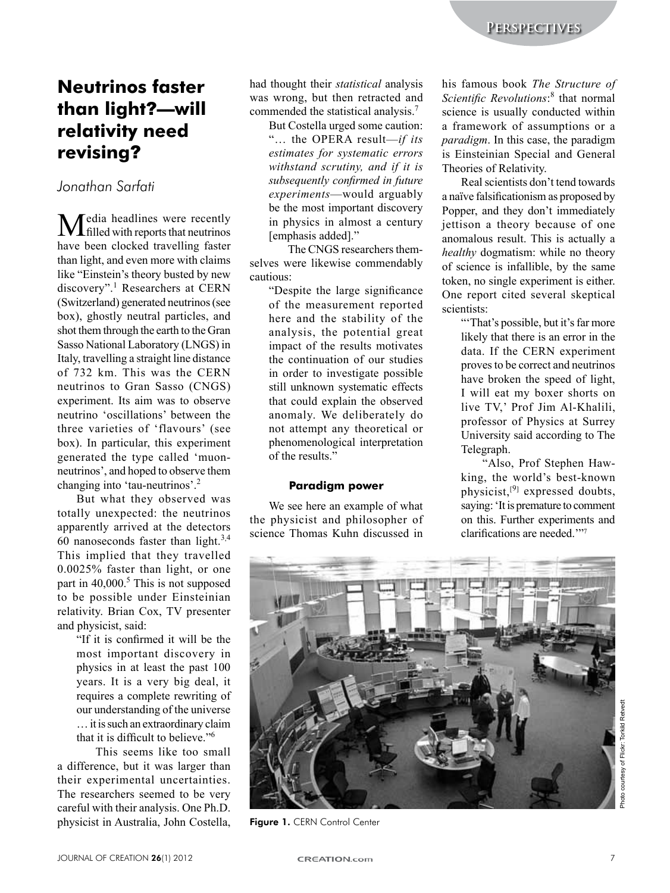# **Neutrinos faster than light**?**—will relativity need revising**?

*Jonathan Sarfati*

**M**edia headlines were recently have been clocked travelling faster than light, and even more with claims like "Einstein's theory busted by new discovery".<sup>1</sup> Researchers at CERN (Switzerland) generated neutrinos (see box), ghostly neutral particles, and shot them through the earth to the Gran Sasso National Laboratory (LNGS) in Italy, travelling a straight line distance of 732 km. This was the CERN neutrinos to Gran Sasso (CNGS) experiment. Its aim was to observe neutrino 'oscillations' between the three varieties of 'flavours' (see  $box)$ . In particular, this experiment generated the type called 'muonneutrinos', and hoped to observe them changing into 'tau-neutrinos'.<sup>2</sup>

But what they observed was totally unexpected: the neutrinos apparently arrived at the detectors 60 nanoseconds faster than light.<sup>3,4</sup> This implied that they travelled  $0.0025\%$  faster than light, or one part in  $40,000$ .<sup>5</sup> This is not supposed to be possible under Einsteinian relativity. Brian Cox, TV presenter and physicist, said:

> "If it is confirmed it will be the most important discovery in physics in at least the past 100 years. It is a very big deal, it requires a complete rewriting of our understanding of the universe  $\ldots$  it is such an extraordinary claim that it is difficult to believe  $\frac{1}{6}$

This seems like too small a difference, but it was larger than their experimental uncertainties. The researchers seemed to be very careful with their analysis. One Ph.D. physicist in Australia, John Costella, had thought their *statistical* analysis was wrong, but then retracted and commended the statistical analysis.<sup>7</sup>

But Costella urged some caution: "... the OPERA result—*if its*  $estimates$  for systematic errors *withstand scrutiny, and if it is subsequently confirmed in future experiments*—would arguably be the most important discovery in physics in almost a century [emphasis added]."

The CNGS researchers themselves were likewise commendably cautious:

"Despite the large significance" of the measurement reported here and the stability of the analysis, the potential great impact of the results motivates the continuation of our studies in order to investigate possible still unknown systematic effects that could explain the observed anomaly. We deliberately do not attempt any theoretical or phenomenological interpretation of the results."

### **Paradigm power**

We see here an example of what the physicist and philosopher of science Thomas Kuhn discussed in

his famous book *The Structure of* Scientific Revolutions:<sup>8</sup> that normal science is usually conducted within a framework of assumptions or a *paradigm*. In this case, the paradigm is Einsteinian Special and General Theories of Relativity.

Real scientists don't tend towards a naïve falsificationism as proposed by Popper, and they don't immediately jettison a theory because of one anomalous result. This is actually a *healthy* dogmatism: while no theory of science is infallible, by the same token, no single experiment is either. One report cited several skeptical scientists:

> "That's possible, but it's far more likely that there is an error in the data. If the CERN experiment proves to be correct and neutrinos have broken the speed of light, I will eat my boxer shorts on live TV,' Prof Jim Al-Khalili, professor of Physics at Surrey University said according to The Telegraph.

> "Also, Prof Stephen Hawking, the world's best-known physicist, $[9]$  expressed doubts, saying: 'It is premature to comment on this. Further experiments and clarifications are needed.""7



Figure 1. CERN Control Center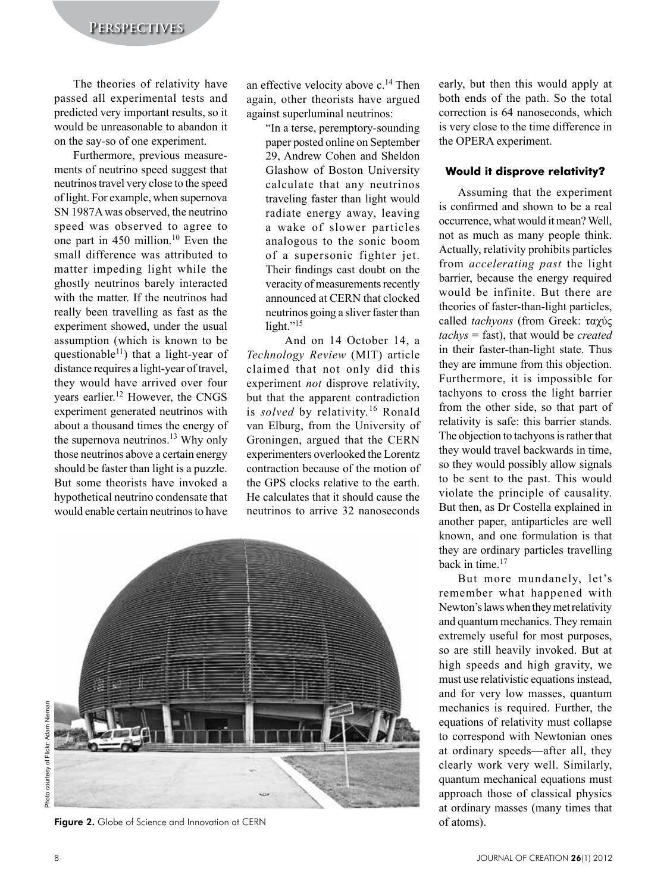The theories of relativity have passed all experimental tests and predicted very important results, so it would be unreasonable to abandon it on the say-so of one experiment.

Furthermore, previous measurements of neutrino speed suggest that neutrinos travel very close to the speed of light. For example, when supernova SN 1987A was observed, the neutrino speed was observed to agree to one part in 450 million.<sup>10</sup> Even the small difference was attributed to matter impeding light while the ghostly neutrinos barely interacted with the matter. If the neutrinos had really been travelling as fast as the experiment showed, under the usual assumption (which is known to be questionable<sup>11</sup>) that a light-year of distance requires a light-year of travel, they would have arrived over four years earlier.<sup>12</sup> However, the CNGS experiment generated neutrinos with about a thousand times the energy of the supernova neutrinos.<sup>13</sup> Why only those neutrinos above a certain energy should be faster than light is a puzzle. But some theorists have invoked a hypothetical neutrino condensate that would enable certain neutrinos to have

an effective velocity above  $c^{14}$  Then again, other theorists have argued against superluminal neutrinos:

"In a terse, peremptory-sounding paper posted online on September 29, Andrew Cohen and Sheldon Glashow of Boston University calculate that any neutrinos traveling faster than light would radiate energy away, leaving a wake of slower particles analogous to the sonic boom of a supersonic fighter jet. Their findings cast doubt on the veracity of measurements recently announced at CERN that clocked neutrinos going a sliver faster than light."15

And on 14 October 14, a Technology Review (MIT) article claimed that not only did this experiment *not* disprove relativity, but that the apparent contradiction is solved by relativity.<sup>16</sup> Ronald van Elburg, from the University of Groningen, argued that the CERN experimenters overlooked the Lorentz contraction because of the motion of the GPS clocks relative to the earth. He calculates that it should cause the neutrinos to arrive 32 nanoseconds



Figure 2. Globe of Science and Innovation at CERN

early, but then this would apply at both ends of the path. So the total correction is 64 nanoseconds, which is very close to the time difference in the OPERA experiment.

### Would it disprove relativity?

Assuming that the experiment is confirmed and shown to be a real occurrence what would it mean? Well not as much as many people think. Actually, relativity prohibits particles from *accelerating past* the light barrier, because the energy required would be infinite. But there are theories of faster-than-light particles. called tachyons (from Greek: ταγύς  $tachys = fast$ , that would be *created* in their faster-than-light state. Thus they are immune from this objection. Furthermore, it is impossible for tachyons to cross the light barrier from the other side, so that part of relativity is safe: this barrier stands. The objection to tachyons is rather that they would travel backwards in time, so they would possibly allow signals to be sent to the past. This would violate the principle of causality. But then, as Dr Costella explained in another paper, antiparticles are well known, and one formulation is that they are ordinary particles travelling back in time.<sup>17</sup>

But more mundanely, let's remember what happened with Newton's laws when they met relativity and quantum mechanics. They remain extremely useful for most purposes, so are still heavily invoked. But at high speeds and high gravity, we must use relativistic equations instead, and for very low masses, quantum mechanics is required. Further, the equations of relativity must collapse to correspond with Newtonian ones at ordinary speeds—after all, they clearly work very well. Similarly, quantum mechanical equations must approach those of classical physics at ordinary masses (many times that of atoms).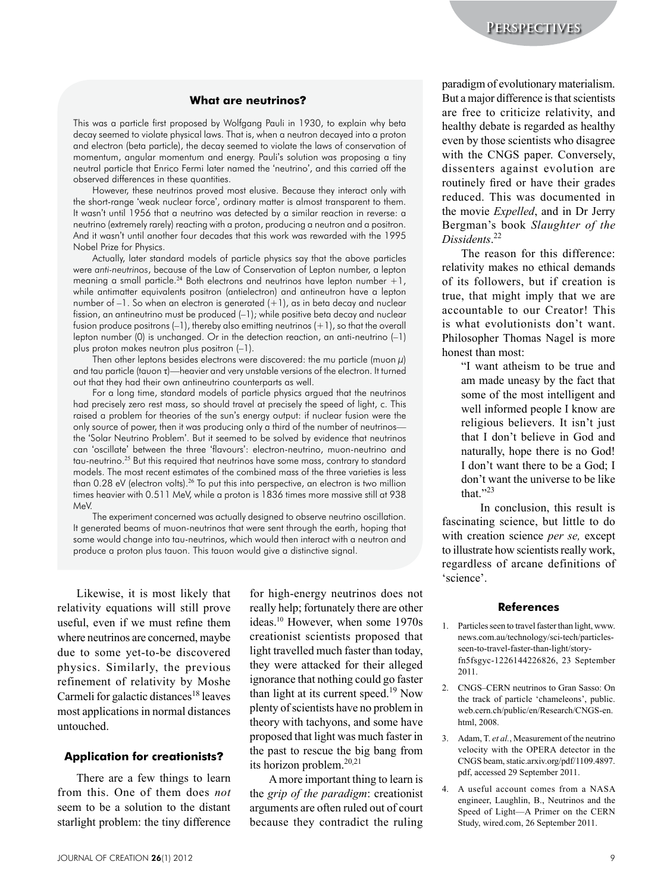#### **What are neutrinos**?

This was a particle first proposed by Wolfgang Pauli in 1930, to explain why beta decay seemed to violate physical laws. That is, when a neutron decayed into a proton and electron (beta particle), the decay seemed to violate the laws of conservation of momentum, angular momentum and energy. Pauli's solution was proposing a tiny neutral particle that Enrico Fermi later named the 'neutrino', and this carried off the observed differences in these quantities.

However, these neutrinos proved most elusive. Because they interact only with the short-range 'weak nuclear force', ordinary matter is almost transparent to them. It wasn't until 1956 that a neutrino was detected by a similar reaction in reverse: a neutrino (extremely rarely) reacting with a proton, producing a neutron and a positron. And it wasn't until another four decades that this work was rewarded with the 1995 Nobel Prize for Physics.

Actually, later standard models of particle physics say that the above particles were *anti-neutrinos*, because of the Law of Conservation of Lepton number, a lepton meaning a small particle.<sup>24</sup> Both electrons and neutrinos have lepton number  $+1$ , while antimatter equivalents positron (antielectron) and antineutron have a lepton number of  $-1$ . So when an electron is generated  $(+1)$ , as in beta decay and nuclear fission, an antineutrino must be produced (–1); while positive beta decay and nuclear fusion produce positrons  $(-1)$ , thereby also emitting neutrinos  $(+1)$ , so that the overall lepton number (0) is unchanged. Or in the detection reaction, an anti-neutrino (–1) plus proton makes neutron plus positron (–1).

Then other leptons besides electrons were discovered: the mu particle (muon  $\mu$ ) and tau particle (tauon  $\tau$ )—heavier and very unstable versions of the electron. It turned out that they had their own antineutrino counterparts as well.

For a long time, standard models of particle physics argued that the neutrinos had precisely zero rest mass, so should travel at precisely the speed of light, c. This raised a problem for theories of the sun's energy output: if nuclear fusion were the only source of power, then it was producing only a third of the number of neutrinos the 'Solar Neutrino Problem'. But it seemed to be solved by evidence that neutrinos can 'oscillate' between the three 'flavours': electron-neutrino, muon-neutrino and tau-neutrino.<sup>25</sup> But this required that neutrinos have some mass, contrary to standard models. The most recent estimates of the combined mass of the three varieties is less than 0.28 eV (electron volts).<sup>26</sup> To put this into perspective, an electron is two million times heavier with 0.511 MeV, while a proton is 1836 times more massive still at 938 MeV.

The experiment concerned was actually designed to observe neutrino oscillation. It generated beams of muon-neutrinos that were sent through the earth, hoping that some would change into tau-neutrinos, which would then interact with a neutron and produce a proton plus tauon. This tauon would give a distinctive signal.

Likewise, it is most likely that relativity equations will still prove useful, even if we must refine them where neutrinos are concerned, maybe due to some yet-to-be discovered physics. Similarly, the previous refinement of relativity by Moshe Carmeli for galactic distances<sup>18</sup> leaves most applications in normal distances untouched.

#### **Application for creationists**?

There are a few things to learn from this. One of them does not seem to be a solution to the distant starlight problem: the tiny difference

for high-energy neutrinos does not really help; fortunately there are other ideas.<sup>10</sup> However, when some 1970s creationist scientists proposed that light travelled much faster than today, they were attacked for their alleged ignorance that nothing could go faster than light at its current speed.<sup>19</sup> Now plenty of scientists have no problem in theory with tachyons, and some have proposed that light was much faster in the past to rescue the big bang from its horizon problem.<sup>20,21</sup>

A more important thing to learn is the *grip* of the *paradigm*: creationist arguments are often ruled out of court because they contradict the ruling paradigm of evolutionary materialism. But a major difference is that scientists are free to criticize relativity, and healthy debate is regarded as healthy even by those scientists who disagree with the CNGS paper. Conversely, dissenters against evolution are routinely fired or have their grades reduced. This was documented in the movie *Expelled*, and in Dr Jerry Bergman's book Slaughter of the *Dissidents*. 22

The reason for this difference: relativity makes no ethical demands of its followers, but if creation is true, that might imply that we are accountable to our Creator! This is what evolutionists don't want. Philosopher Thomas Nagel is more honest than most:

"I want atheism to be true and am made uneasy by the fact that some of the most intelligent and well informed people I know are religious believers. It isn't just that I don't believe in God and naturally, hope there is no God! I don't want there to be a God; I don't want the universe to be like that $"23$ 

In conclusion, this result is fascinating science, but little to do with creation science *per se*, except to illustrate how scientists really work, regardless of arcane definitions of 'science'.

#### **References**

- 1. Particles seen to travel faster than light, www. news.com.au/technology/sci-tech/particlesseen-to-travel-faster-than-light/storyfn5fsgyc-1226144226826, 23 September 2011.
- 2. CNGS-CERN neutrinos to Gran Sasso: On the track of particle 'chameleons', public. web.cern.ch/public/en/Research/CNGS-en. html, 2008.
- 3. Adam, T. et al., Measurement of the neutrino velocity with the OPERA detector in the CNGS beam, static.arxiv.org/pdf/1109.4897. pdf, accessed 29 September 2011.
- 4. A useful account comes from a NASA engineer, Laughlin, B., Neutrinos and the Speed of Light-A Primer on the CERN Study, wired.com, 26 September 2011.